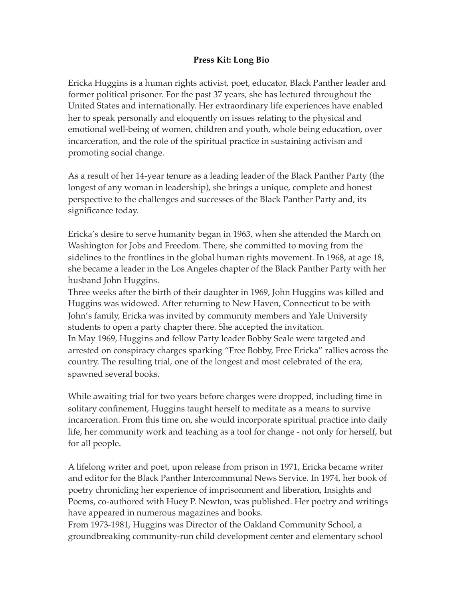## **Press Kit: Long Bio**

Ericka Huggins is a human rights activist, poet, educator, Black Panther leader and former political prisoner. For the past 37 years, she has lectured throughout the United States and internationally. Her extraordinary life experiences have enabled her to speak personally and eloquently on issues relating to the physical and emotional well-being of women, children and youth, whole being education, over incarceration, and the role of the spiritual practice in sustaining activism and promoting social change.

As a result of her 14-year tenure as a leading leader of the Black Panther Party (the longest of any woman in leadership), she brings a unique, complete and honest perspective to the challenges and successes of the Black Panther Party and, its significance today.

Ericka's desire to serve humanity began in 1963, when she attended the March on Washington for Jobs and Freedom. There, she committed to moving from the sidelines to the frontlines in the global human rights movement. In 1968, at age 18, she became a leader in the Los Angeles chapter of the Black Panther Party with her husband John Huggins.

Three weeks after the birth of their daughter in 1969, John Huggins was killed and Huggins was widowed. After returning to New Haven, Connecticut to be with John's family, Ericka was invited by community members and Yale University students to open a party chapter there. She accepted the invitation. In May 1969, Huggins and fellow Party leader Bobby Seale were targeted and arrested on conspiracy charges sparking "Free Bobby, Free Ericka" rallies across the country. The resulting trial, one of the longest and most celebrated of the era, spawned several books.

While awaiting trial for two years before charges were dropped, including time in solitary confinement, Huggins taught herself to meditate as a means to survive incarceration. From this time on, she would incorporate spiritual practice into daily life, her community work and teaching as a tool for change - not only for herself, but for all people.

A lifelong writer and poet, upon release from prison in 1971, Ericka became writer and editor for the Black Panther Intercommunal News Service. In 1974, her book of poetry chronicling her experience of imprisonment and liberation, Insights and Poems, co-authored with Huey P. Newton, was published. Her poetry and writings have appeared in numerous magazines and books.

From 1973-1981, Huggins was Director of the Oakland Community School, a groundbreaking community-run child development center and elementary school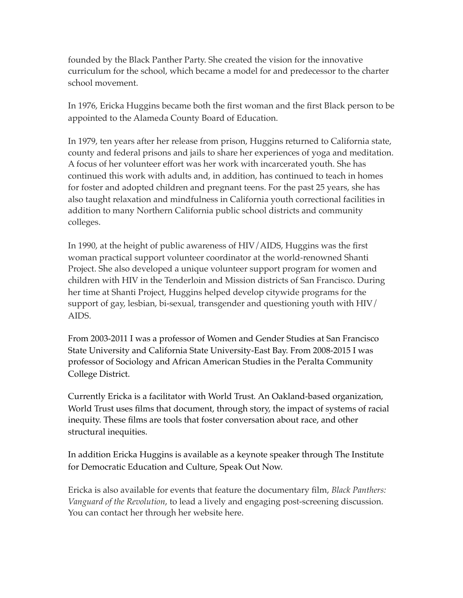founded by the Black Panther Party. She created the vision for the innovative curriculum for the school, which became a model for and predecessor to the charter school movement.

In 1976, Ericka Huggins became both the first woman and the first Black person to be appointed to the Alameda County Board of Education.

In 1979, ten years after her release from prison, Huggins returned to California state, county and federal prisons and jails to share her experiences of yoga and meditation. A focus of her volunteer effort was her work with incarcerated youth. She has continued this work with adults and, in addition, has continued to teach in homes for foster and adopted children and pregnant teens. For the past 25 years, she has also taught relaxation and mindfulness in California youth correctional facilities in addition to many Northern California public school districts and community colleges.

In 1990, at the height of public awareness of HIV/AIDS, Huggins was the first woman practical support volunteer coordinator at the world-renowned Shanti Project. She also developed a unique volunteer support program for women and children with HIV in the Tenderloin and Mission districts of San Francisco. During her time at Shanti Project, Huggins helped develop citywide programs for the support of gay, lesbian, bi-sexual, transgender and questioning youth with HIV/ AIDS.

From 2003-2011 I was a professor of Women and Gender Studies at San Francisco State University and California State University-East Bay. From 2008-2015 I was professor of Sociology and African American Studies in the Peralta Community College District.

Currently Ericka is a facilitator with World Trust*.* An Oakland-based organization, World Trust uses films that document, through story, the impact of systems of racial inequity. These films are tools that foster conversation about race, and other structural inequities.

In addition Ericka Huggins is available as a keynote speaker through The Institute for Democratic Education and Culture, Speak Out Now.

Ericka is also available for events that feature the documentary film, *Black Panthers: Vanguard of the Revolution*, to lead a lively and engaging post-screening discussion. You can contact her through her website here.